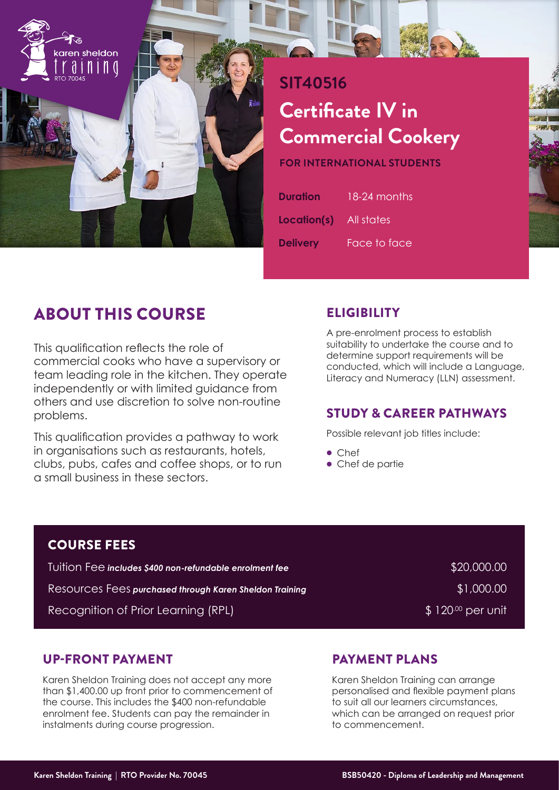

# **SIT40516 Certificate IV in Commercial Cookery**

**FOR INTERNATIONAL STUDENTS**

| <b>Duration</b> | 18-24 months       |
|-----------------|--------------------|
| Location(s)     | All stat <u>es</u> |
| <b>Delivery</b> | Face to face       |

# ABOUT THIS COURSE

This qualification reflects the role of commercial cooks who have a supervisory or team leading role in the kitchen. They operate independently or with limited guidance from others and use discretion to solve non-routine problems.

This qualification provides a pathway to work in organisations such as restaurants, hotels, clubs, pubs, cafes and coffee shops, or to run a small business in these sectors.

# **ELIGIBILITY**

A pre-enrolment process to establish suitability to undertake the course and to determine support requirements will be conducted, which will include a Language, Literacy and Numeracy (LLN) assessment.

# STUDY & CAREER PATHWAYS

Possible relevant job titles include:

- Chef
- Chef de partie

### COURSE FEES

Tuition Fee *includes \$400 non-refundable enrolment fee* \$20,000.000 \$20,000.00 Resources Fees purchased through Karen Sheldon Training **Example 2001-001-12** \$1,000.00

Recognition of Prior Learning (RPL)  $$120<sup>00</sup>$  per unit

# UP-FRONT PAYMENT

Karen Sheldon Training does not accept any more than \$1,400.00 up front prior to commencement of the course. This includes the \$400 non-refundable enrolment fee. Students can pay the remainder in instalments during course progression.

# PAYMENT PLANS

Karen Sheldon Training can arrange personalised and flexible payment plans to suit all our learners circumstances, which can be arranged on request prior to commencement.